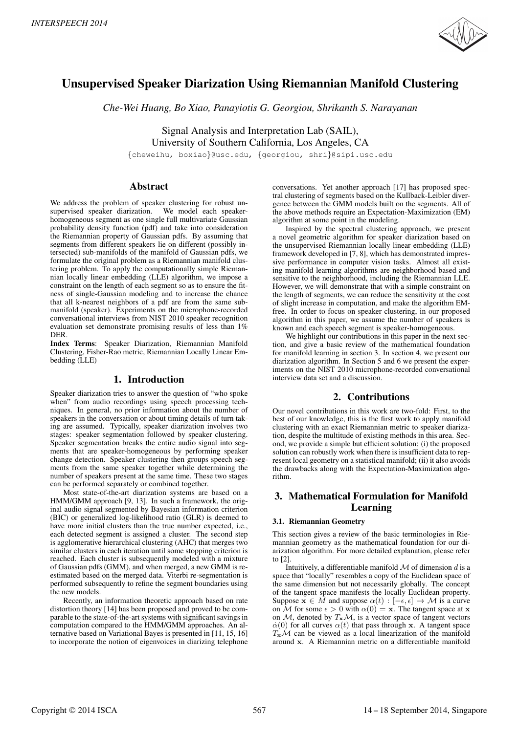

# Unsupervised Speaker Diarization Using Riemannian Manifold Clustering

*Che-Wei Huang, Bo Xiao, Panayiotis G. Georgiou, Shrikanth S. Narayanan*

Signal Analysis and Interpretation Lab (SAIL), University of Southern California, Los Angeles, CA

{cheweihu, boxiao}@usc.edu, {georgiou, shri}@sipi.usc.edu

# Abstract

We address the problem of speaker clustering for robust unsupervised speaker diarization. We model each speakerhomogeneous segment as one single full multivariate Gaussian probability density function (pdf) and take into consideration the Riemannian property of Gaussian pdfs. By assuming that segments from different speakers lie on different (possibly intersected) sub-manifolds of the manifold of Gaussian pdfs, we formulate the original problem as a Riemannian manifold clustering problem. To apply the computationally simple Riemannian locally linear embedding (LLE) algorithm, we impose a constraint on the length of each segment so as to ensure the fitness of single-Gaussian modeling and to increase the chance that all k-nearest neighbors of a pdf are from the same submanifold (speaker). Experiments on the microphone-recorded conversational interviews from NIST 2010 speaker recognition evaluation set demonstrate promising results of less than 1% DER.

Index Terms: Speaker Diarization, Riemannian Manifold Clustering, Fisher-Rao metric, Riemannian Locally Linear Embedding (LLE)

## 1. Introduction

Speaker diarization tries to answer the question of "who spoke when" from audio recordings using speech processing techniques. In general, no prior information about the number of speakers in the conversation or about timing details of turn taking are assumed. Typically, speaker diarization involves two stages: speaker segmentation followed by speaker clustering. Speaker segmentation breaks the entire audio signal into segments that are speaker-homogeneous by performing speaker change detection. Speaker clustering then groups speech segments from the same speaker together while determining the number of speakers present at the same time. These two stages can be performed separately or combined together.

Most state-of-the-art diarization systems are based on a HMM/GMM approach [9, 13]. In such a framework, the original audio signal segmented by Bayesian information criterion (BIC) or generalized log-likelihood ratio (GLR) is deemed to have more initial clusters than the true number expected, i.e., each detected segment is assigned a cluster. The second step is agglomerative hierarchical clustering (AHC) that merges two similar clusters in each iteration until some stopping criterion is reached. Each cluster is subsequently modeled with a mixture of Gaussian pdfs (GMM), and when merged, a new GMM is reestimated based on the merged data. Viterbi re-segmentation is performed subsequently to refine the segment boundaries using the new models.

Recently, an information theoretic approach based on rate distortion theory [14] has been proposed and proved to be comparable to the state-of-the-art systems with significant savings in computation compared to the HMM/GMM approaches. An alternative based on Variational Bayes is presented in [11, 15, 16] to incorporate the notion of eigenvoices in diarizing telephone conversations. Yet another approach [17] has proposed spectral clustering of segments based on the Kullback-Leibler divergence between the GMM models built on the segments. All of the above methods require an Expectation-Maximization (EM) algorithm at some point in the modeling.

Inspired by the spectral clustering approach, we present a novel geometric algorithm for speaker diarization based on the unsupervised Riemannian locally linear embedding (LLE) framework developed in [7, 8], which has demonstrated impressive performance in computer vision tasks. Almost all existing manifold learning algorithms are neighborhood based and sensitive to the neighborhood, including the Riemannian LLE. However, we will demonstrate that with a simple constraint on the length of segments, we can reduce the sensitivity at the cost of slight increase in computation, and make the algorithm EMfree. In order to focus on speaker clustering, in our proposed algorithm in this paper, we assume the number of speakers is known and each speech segment is speaker-homogeneous.

We highlight our contributions in this paper in the next section, and give a basic review of the mathematical foundation for manifold learning in section 3. In section 4, we present our diarization algorithm. In Section 5 and 6 we present the experiments on the NIST 2010 microphone-recorded conversational interview data set and a discussion.

# 2. Contributions

Our novel contributions in this work are two-fold: First, to the best of our knowledge, this is the first work to apply manifold clustering with an exact Riemannian metric to speaker diarization, despite the multitude of existing methods in this area. Second, we provide a simple but efficient solution: (i) the proposed solution can robustly work when there is insufficient data to represent local geometry on a statistical manifold; (ii) it also avoids the drawbacks along with the Expectation-Maximization algorithm.

# 3. Mathematical Formulation for Manifold Learning

#### 3.1. Riemannian Geometry

This section gives a review of the basic terminologies in Riemannian geometry as the mathematical foundation for our diarization algorithm. For more detailed explanation, please refer to [2].

Intuitively, a differentiable manifold  $M$  of dimension  $d$  is a space that "locally" resembles a copy of the Euclidean space of the same dimension but not necessarily globally. The concept of the tangent space manifests the locally Euclidean property. Suppose  $\mathbf{x} \in M$  and suppose  $\alpha(t) : [-\epsilon, \epsilon] \to M$  is a curve on M for some  $\epsilon > 0$  with  $\alpha(0) = \mathbf{x}$ . The tangent space at x on  $M$ , denoted by  $T_xM$ , is a vector space of tangent vectors  $\dot{\alpha}(0)$  for all curves  $\alpha(t)$  that pass through x. A tangent space  $T_xM$  can be viewed as a local linearization of the manifold around x. A Riemannian metric on a differentiable manifold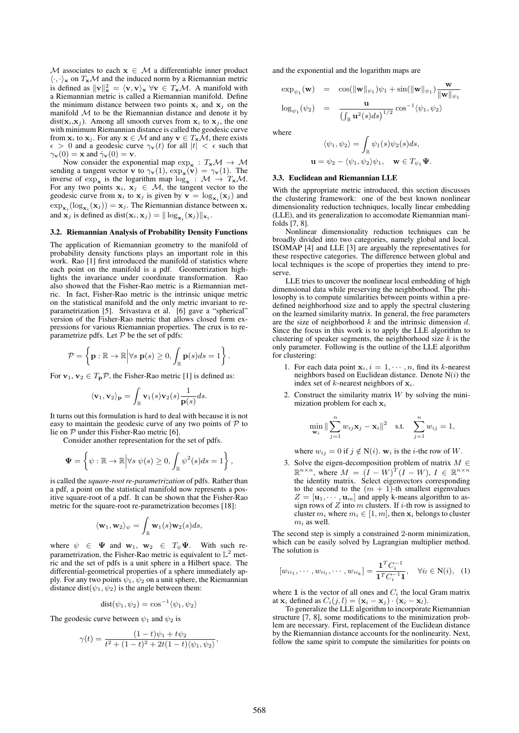M associates to each  $x \in M$  a differentiable inner product  $\langle \cdot, \cdot \rangle_{\mathbf{x}}$  on  $T_{\mathbf{x}}M$  and the induced norm by a Riemannian metric is defined as  $\|\mathbf{v}\|_{\mathbf{x}}^2 = \langle \mathbf{v}, \mathbf{v} \rangle_{\mathbf{x}} \ \forall \mathbf{v} \in T_{\mathbf{x}}\mathcal{M}$ . A manifold with a Riemannian metric is called a Riemannian manifold. Define the minimum distance between two points  $x_i$  and  $x_j$  on the manifold  $M$  to be the Riemannian distance and denote it by  $dist(\mathbf{x}_i, \mathbf{x}_j)$ . Among all smooth curves from  $\mathbf{x}_i$  to  $\mathbf{x}_j$ , the one with minimum Riemannian distance is called the geodesic curve from  $\mathbf{x}_i$  to  $\mathbf{x}_j$ . For any  $\mathbf{x} \in \mathcal{M}$  and any  $\mathbf{v} \in T_\mathbf{x} \tilde{\mathcal{M}}$ , there exists  $\epsilon > 0$  and a geodesic curve  $\gamma_{\mathbf{v}}(t)$  for all  $|t| < \epsilon$  such that  $\gamma_{\mathbf{v}}(0) = \mathbf{x}$  and  $\gamma_{\mathbf{v}}(0) = \mathbf{v}$ .

Now consider the exponential map  $\exp_{\mathbf{x}} : T_{\mathbf{x}}\mathcal{M} \to \mathcal{M}$ sending a tangent vector **v** to  $\gamma_{\mathbf{v}}(1)$ ,  $\exp_{\mathbf{x}}(\mathbf{v}) = \gamma_{\mathbf{v}}(1)$ . The inverse of  $\exp_{\mathbf{x}}$  is the logarithm map  $\log_{\mathbf{x}} : \mathcal{M} \to T_{\mathbf{x}}\mathcal{M}$ . For any two points  $x_i, x_j \in \mathcal{M}$ , the tangent vector to the geodesic curve from  $x_i$  to  $x_j$  is given by  $\mathbf{v} = \log_{\mathbf{x}_i}(\mathbf{x}_j)$  and  $\exp_{\mathbf{x}_i}(\log_{\mathbf{x}_i}(\mathbf{x}_j)) = \mathbf{x}_j$ . The Riemannian distance between  $\mathbf{x}_i$ and  $\mathbf{x}_j$  is defined as dist $(\mathbf{x}_i, \mathbf{x}_j) = || \log_{\mathbf{x}_i} (\mathbf{x}_j) ||_{\mathbf{x}_i}$ .

#### 3.2. Riemannian Analysis of Probability Density Functions

The application of Riemannian geometry to the manifold of probability density functions plays an important role in this work. Rao [1] first introduced the manifold of statistics where each point on the manifold is a pdf. Geometrization highlights the invariance under coordinate transformation. Rao also showed that the Fisher-Rao metric is a Riemannian metric. In fact, Fisher-Rao metric is the intrinsic unique metric on the statistical manifold and the only metric invariant to reparametrization [5]. Srivastava et al. [6] gave a "spherical" version of the Fisher-Rao metric that allows closed form expressions for various Riemannian properties. The crux is to reparametrize pdfs. Let  $P$  be the set of pdfs:

$$
\mathcal{P} = \left\{ \mathbf{p} : \mathbb{R} \to \mathbb{R} \middle| \forall s \ \mathbf{p}(s) \ge 0, \int_{\mathbb{R}} \mathbf{p}(s) ds = 1 \right\}
$$

.

For  $\mathbf{v}_1, \mathbf{v}_2 \in T_p \mathcal{P}$ , the Fisher-Rao metric [1] is defined as:

$$
\langle \mathbf{v}_1, \mathbf{v}_2 \rangle_{\mathbf{p}} = \int_{\mathbb{R}} \mathbf{v}_1(s) \mathbf{v}_2(s) \frac{1}{\mathbf{p}(s)} ds.
$$

It turns out this formulation is hard to deal with because it is not easy to maintain the geodesic curve of any two points of  $P$  to lie on  $P$  under this Fisher-Rao metric [6].

Consider another representation for the set of pdfs.

$$
\Psi = \left\{ \psi : \mathbb{R} \to \mathbb{R} \middle| \forall s \ \psi(s) \geq 0, \int_{\mathbb{R}} \psi^2(s) ds = 1 \right\},\
$$

is called the *square-root re-parametrization* of pdfs. Rather than a pdf, a point on the statistical manifold now represents a positive square-root of a pdf. It can be shown that the Fisher-Rao metric for the square-root re-parametrization becomes [18]:

$$
\langle \mathbf{w}_1, \mathbf{w}_2 \rangle_{\psi} = \int_{\mathbb{R}} \mathbf{w}_1(s) \mathbf{w}_2(s) ds,
$$

where  $\psi \in \Psi$  and  $\mathbf{w}_1, \mathbf{w}_2 \in T_{\psi} \Psi$ . With such reparametrization, the Fisher-Rao metric is equivalent to  $\mathbb{L}^2$  metric and the set of pdfs is a unit sphere in a Hilbert space. The differential-geometrical properties of a sphere immediately apply. For any two points  $\bar{\psi}_1$ ,  $\bar{\psi}_2$  on a unit sphere, the Riemannian distance dist( $\psi_1, \psi_2$ ) is the angle between them:

$$
dist(\psi_1, \psi_2) = \cos^{-1} \langle \psi_1, \psi_2 \rangle
$$

The geodesic curve between  $\psi_1$  and  $\psi_2$  is

$$
\gamma(t) = \frac{(1-t)\psi_1 + t\psi_2}{t^2 + (1-t)^2 + 2t(1-t)\langle\psi_1, \psi_2\rangle},
$$

and the exponential and the logarithm maps are

$$
\exp_{\psi_1}(\mathbf{w}) = \cos(\|\mathbf{w}\|_{\psi_1})\psi_1 + \sin(\|\mathbf{w}\|_{\psi_1})\frac{\mathbf{w}}{\|\mathbf{w}\|_{\psi_1}}
$$
  

$$
\log_{\psi_1}(\psi_2) = \frac{\mathbf{u}}{\left(\int_{\mathbb{R}}\mathbf{u}^2(s)ds\right)^{1/2}}\cos^{-1}\langle\psi_1,\psi_2\rangle
$$

where

$$
\langle \psi_1, \psi_2 \rangle = \int_{\mathbb{R}} \psi_1(s) \psi_2(s) ds,
$$
  

$$
\mathbf{u} = \psi_2 - \langle \psi_1, \psi_2 \rangle \psi_1, \quad \mathbf{w} \in T_{\psi_1} \mathbf{\Psi}.
$$

#### 3.3. Euclidean and Riemannian LLE

With the appropriate metric introduced, this section discusses the clustering framework: one of the best known nonlinear dimensionality reduction techniques, locally linear embedding (LLE), and its generalization to accomodate Riemannian manifolds [7, 8].

Nonlinear dimensionality reduction techniques can be broadly divided into two categories, namely global and local. ISOMAP [4] and LLE [3] are arguably the representatives for these respective categories. The difference between global and local techniques is the scope of properties they intend to preserve.

LLE tries to uncover the nonlinear local embedding of high dimensional data while preserving the neighborhood. The philosophy is to compute similarities between points within a predefined neighborhood size and to apply the spectral clustering on the learned similarity matrix. In general, the free parameters are the size of neighborhood  $k$  and the intrinsic dimension  $d$ . Since the focus in this work is to apply the LLE algorithm to clustering of speaker segments, the neighborhood size  $k$  is the only parameter. Following is the outline of the LLE algorithm for clustering:

- 1. For each data point  $x_i$ ,  $i = 1, \dots, n$ , find its k-nearest neighbors based on Euclidean distance. Denote  $N(i)$  the index set of  $k$ -nearest neighbors of  $x_i$ .
- 2. Construct the similarity matrix  $W$  by solving the minimization problem for each  $x_i$

$$
\min_{\mathbf{w}_i} \|\sum_{j=1}^n w_{ij} \mathbf{x}_j - \mathbf{x}_i\|^2 \quad \text{s.t.} \quad \sum_{j=1}^n w_{ij} = 1,
$$

where  $w_{ij} = 0$  if  $j \notin N(i)$ .  $w_i$  is the *i*-the row of W.

3. Solve the eigen-decomposition problem of matrix  $M \in$  $\mathbb{R}^{n \times n}$ , where  $M = (I - W)^{T} (I - W)$ ,  $I \in \mathbb{R}^{n \times n}$ the identity matrix. Select eigenvectors corresponding to the second to the  $(m + 1)$ -th smallest eigenvalues  $Z = [\mathbf{u}_1, \cdots, \mathbf{u}_m]$  and apply k-means algorithm to assign rows of  $Z$  into  $m$  clusters. If  $i$ -th row is assigned to cluster  $m_i$  where  $m_i \in [1, m]$ , then  $\mathbf{x}_i$  belongs to cluster  $m_i$  as well.

The second step is simply a constrained 2-norm minimization, which can be easily solved by Lagrangian multiplier method. The solution is

$$
[w_{ii_1}, \cdots, w_{ii_l}, \cdots, w_{ii_k}] = \frac{\mathbf{1}^T C_i^{-1}}{\mathbf{1}^T C_i^{-1} \mathbf{1}}, \quad \forall i_l \in \mathbb{N}(i), \quad (1)
$$

where 1 is the vector of all ones and  $C_i$  the local Gram matrix at  $\mathbf{x}_i$  defined as  $C_i(j, l) = (\mathbf{x}_i - \mathbf{x}_j) \cdot (\mathbf{x}_i - \mathbf{x}_l).$ 

To generalize the LLE algorithm to incorporate Riemannian structure [7, 8], some modifications to the minimization problem are necessary. First, replacement of the Euclidean distance by the Riemannian distance accounts for the nonlinearity. Next, follow the same spirit to compute the similarities for points on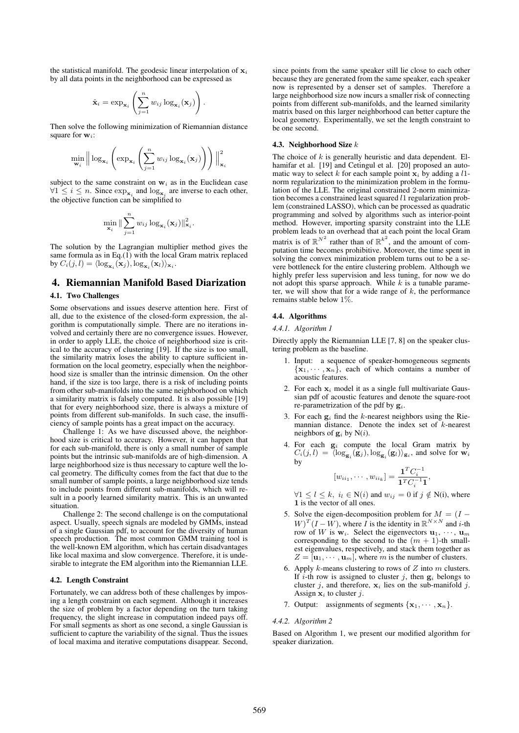the statistical manifold. The geodesic linear interpolation of  $x_i$ by all data points in the neighborhood can be expressed as

$$
\hat{\mathbf{x}}_i = \exp_{\mathbf{x}_i} \left( \sum_{j=1}^n w_{ij} \log_{\mathbf{x}_i}(\mathbf{x}_j) \right).
$$

Then solve the following minimization of Riemannian distance square for  $\mathbf{w}$ :

$$
\min_{\mathbf{w}_i} \left\| \log_{\mathbf{x}_i} \left( \exp_{\mathbf{x}_i} \left( \sum_{j=1}^n w_{ij} \log_{\mathbf{x}_i}(\mathbf{x}_j) \right) \right) \right\|_{\mathbf{x}_i}^2
$$

subject to the same constraint on  $w_i$  as in the Euclidean case  $\forall 1 \leq i \leq n$ . Since  $\exp_{\mathbf{x}_i}$  and  $\log_{\mathbf{x}_i}$  are inverse to each other, the objective function can be simplified to

$$
\min_{\mathbf{x}_i} \|\sum_{j=1}^n w_{ij} \log_{\mathbf{x}_i}(\mathbf{x}_j)\|_{\mathbf{x}_i}^2.
$$

The solution by the Lagrangian multiplier method gives the same formula as in Eq.(1) with the local Gram matrix replaced by  $C_i(j, l) = \langle \log_{\mathbf{x}_i}(\mathbf{x}_j), \log_{\mathbf{x}_i}(\mathbf{x}_l) \rangle_{\mathbf{x}_i}$ .

### 4. Riemannian Manifold Based Diarization

#### 4.1. Two Challenges

Some observations and issues deserve attention here. First of all, due to the existence of the closed-form expression, the algorithm is computationally simple. There are no iterations involved and certainly there are no convergence issues. However, in order to apply LLE, the choice of neighborhood size is critical to the accuracy of clustering [19]. If the size is too small, the similarity matrix loses the ability to capture sufficient information on the local geometry, especially when the neighborhood size is smaller than the intrinsic dimension. On the other hand, if the size is too large, there is a risk of including points from other sub-manifolds into the same neighborhood on which a similarity matrix is falsely computed. It is also possible [19] that for every neighborhood size, there is always a mixture of points from different sub-manifolds. In such case, the insufficiency of sample points has a great impact on the accuracy.

Challenge 1: As we have discussed above, the neighborhood size is critical to accuracy. However, it can happen that for each sub-manifold, there is only a small number of sample points but the intrinsic sub-manifolds are of high-dimension. A large neighborhood size is thus necessary to capture well the local geometry. The difficulty comes from the fact that due to the small number of sample points, a large neighborhood size tends to include points from different sub-manifolds, which will result in a poorly learned similarity matrix. This is an unwanted situation.

Challenge 2: The second challenge is on the computational aspect. Usually, speech signals are modeled by GMMs, instead of a single Gaussian pdf, to account for the diversity of human speech production. The most common GMM training tool is the well-known EM algorithm, which has certain disadvantages like local maxima and slow convergence. Therefore, it is undesirable to integrate the EM algorithm into the Riemannian LLE.

#### 4.2. Length Constraint

Fortunately, we can address both of these challenges by imposing a length constraint on each segment. Although it increases the size of problem by a factor depending on the turn taking frequency, the slight increase in computation indeed pays off. For small segments as short as one second, a single Gaussian is sufficient to capture the variability of the signal. Thus the issues of local maxima and iterative computations disappear. Second,

since points from the same speaker still lie close to each other because they are generated from the same speaker, each speaker now is represented by a denser set of samples. Therefore a large neighborhood size now incurs a smaller risk of connecting points from different sub-manifolds, and the learned similarity matrix based on this larger neighborhood can better capture the local geometry. Experimentally, we set the length constraint to be one second.

### 4.3. Neighborhood Size k

The choice of  $k$  is generally heuristic and data dependent. Elhamifar et al. [19] and Cetingul et al. [20] proposed an automatic way to select k for each sample point  $x_i$  by adding a l1norm regularization to the minimization problem in the formulation of the LLE. The original constrained 2-norm minimization becomes a constrained least squared l1 regularization problem (constrained LASSO), which can be processed as quadratic programming and solved by algorithms such as interior-point method. However, importing sparsity constraint into the LLE problem leads to an overhead that at each point the local Gram matrix is of  $\mathbb{R}^{N^2}$  rather than of  $\mathbb{R}^{k^2}$ , and the amount of computation time becomes prohibitive. Moreover, the time spent in solving the convex minimization problem turns out to be a severe bottleneck for the entire clustering problem. Although we highly prefer less supervision and less tuning, for now we do not adopt this sparse approach. While  $k$  is a tunable parameter, we will show that for a wide range of  $k$ , the performance remains stable below 1%.

#### 4.4. Algorithms

#### *4.4.1. Algorithm 1*

Directly apply the Riemannian LLE [7, 8] on the speaker clustering problem as the baseline.

- 1. Input: a sequence of speaker-homogeneous segments  ${x_1, \dots, x_n}$ , each of which contains a number of acoustic features.
- 2. For each  $x_i$  model it as a single full multivariate Gaussian pdf of acoustic features and denote the square-root re-parametrization of the pdf by  $g_i$ .
- 3. For each  $g_i$  find the k-nearest neighbors using the Riemannian distance. Denote the index set of  $k$ -nearest neighbors of  $g_i$  by  $N(i)$ .
- 4. For each  $g_i$  compute the local Gram matrix by  $C_i(j,l) = \langle \log_{\mathbf{g}_i}(\mathbf{g}_j), \log_{\mathbf{g}_i}(\mathbf{g}_l) \rangle_{\mathbf{g}_i}$ , and solve for  $\mathbf{w}_i$ by

$$
[w_{ii_1}, \cdots, w_{ii_k}] = \frac{\mathbf{1}^T C_i^{-1}}{\mathbf{1}^T C_i^{-1} \mathbf{1}},
$$

 $\forall 1 \leq l \leq k, i_l \in N(i)$  and  $w_{ij} = 0$  if  $j \notin N(i)$ , where 1 is the vector of all ones.

- 5. Solve the eigen-decomposition problem for  $M = (I W$ <sup>T</sup> $(I - W)$ , where I is the identity in  $\mathbb{R}^{N \times N}$  and i-th row of W is  $w_i$ . Select the eigenvectors  $u_1, \dots, u_m$ corresponding to the second to the  $(m + 1)$ -th smallest eigenvalues, respectively, and stack them together as  $Z = [\mathbf{u}_1, \cdots, \mathbf{u}_m]$ , where m is the number of clusters.
- 6. Apply  $k$ -means clustering to rows of  $Z$  into  $m$  clusters. If i-th row is assigned to cluster j, then  $g_i$  belongs to cluster j, and therefore,  $x_i$  lies on the sub-manifold j. Assign  $x_i$  to cluster j.
- 7. Output: assignments of segments  $\{x_1, \dots, x_n\}$ .

#### *4.4.2. Algorithm 2*

Based on Algorithm 1, we present our modified algorithm for speaker diarization.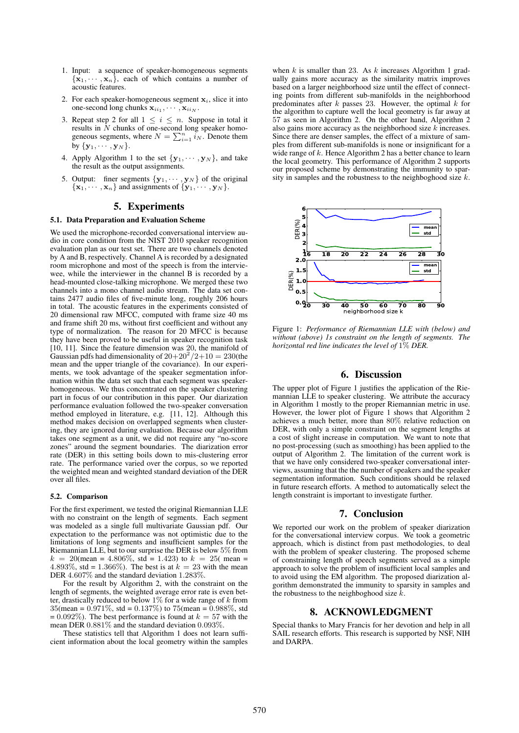- 1. Input: a sequence of speaker-homogeneous segments  ${x_1, \dots, x_n}$ , each of which contains a number of acoustic features.
- 2. For each speaker-homogeneous segment  $x_i$ , slice it into one-second long chunks  ${\bf x}_{ii_1}, \cdots, {\bf x}_{ii_N}$ .
- 3. Repeat step 2 for all  $1 \leq i \leq n$ . Suppose in total it results in  $N$  chunks of one-second long speaker homogeneous segments, where  $N = \sum_{i=1}^{n} i_N$ . Denote them by  $\{y_1, \cdots, y_N\}$ .
- 4. Apply Algorithm 1 to the set  $\{y_1, \dots, y_N\}$ , and take the result as the output assignments.
- 5. Output: finer segments  $\{y_1, \dots, y_N\}$  of the original  $\{x_1, \dots, x_n\}$  and assignments of  $\{y_1, \dots, y_N\}$ .

# 5. Experiments

#### 5.1. Data Preparation and Evaluation Scheme

We used the microphone-recorded conversational interview audio in core condition from the NIST 2010 speaker recognition evaluation plan as our test set. There are two channels denoted by A and B, respectively. Channel A is recorded by a designated room microphone and most of the speech is from the interviewee, while the interviewer in the channel B is recorded by a head-mounted close-talking microphone. We merged these two channels into a mono channel audio stream. The data set contains 2477 audio files of five-minute long, roughly 206 hours in total. The acoustic features in the experiments consisted of 20 dimensional raw MFCC, computed with frame size 40 ms and frame shift 20 ms, without first coefficient and without any type of normalization. The reason for 20 MFCC is because they have been proved to be useful in speaker recognition task [10, 11]. Since the feature dimension was 20, the manifold of Gaussian pdfs had dimensionality of  $20+20^2/2+10 = 230$  (the mean and the upper triangle of the covariance). In our experiments, we took advantage of the speaker segmentation information within the data set such that each segment was speakerhomogeneous. We thus concentrated on the speaker clustering part in focus of our contribution in this paper. Our diarization performance evaluation followed the two-speaker conversation method employed in literature, e.g. [11, 12]. Although this method makes decision on overlapped segments when clustering, they are ignored during evaluation. Because our algorithm takes one segment as a unit, we did not require any "no-score zones" around the segment boundaries. The diarization error rate (DER) in this setting boils down to mis-clustering error rate. The performance varied over the corpus, so we reported the weighted mean and weighted standard deviation of the DER over all files.

#### 5.2. Comparison

For the first experiment, we tested the original Riemannian LLE with no constraint on the length of segments. Each segment was modeled as a single full multivariate Gaussian pdf. Our expectation to the performance was not optimistic due to the limitations of long segments and insufficient samples for the Riemannian LLE, but to our surprise the DER is below 5% from  $k = 20$ (mean = 4.806\%, std = 1.423) to  $k = 25$ (mean = 4.893%, std = 1.366%). The best is at  $k = 23$  with the mean DER 4.607% and the standard deviation 1.283%.

For the result by Algorithm 2, with the constraint on the length of segments, the weighted average error rate is even better, drastically reduced to below  $1\%$  for a wide range of  $k$  from  $35$ (mean = 0.971\%, std = 0.137\%) to 75(mean = 0.988\%, std = 0.092%). The best performance is found at  $k = 57$  with the mean DER 0.881% and the standard deviation 0.093%.

These statistics tell that Algorithm 1 does not learn sufficient information about the local geometry within the samples

when  $k$  is smaller than 23. As  $k$  increases Algorithm 1 gradually gains more accuracy as the similarity matrix improves based on a larger neighborhood size until the effect of connecting points from different sub-manifolds in the neighborhood predominates after  $k$  passes 23. However, the optimal  $k$  for the algorithm to capture well the local geometry is far away at 57 as seen in Algorithm 2. On the other hand, Algorithm 2 also gains more accuracy as the neighborhood size  $k$  increases. Since there are denser samples, the effect of a mixture of samples from different sub-manifolds is none or insignificant for a wide range of  $k$ . Hence Algorithm 2 has a better chance to learn the local geometry. This performance of Algorithm 2 supports our proposed scheme by demonstrating the immunity to sparsity in samples and the robustness to the neighboghood size  $k$ .



Figure 1: *Performance of Riemannian LLE with (below) and without (above) 1s constraint on the length of segments. The horizontal red line indicates the level of* 1% *DER.*

### 6. Discussion

The upper plot of Figure 1 justifies the application of the Riemannian LLE to speaker clustering. We attribute the accuracy in Algorithm 1 mostly to the proper Riemannian metric in use. However, the lower plot of Figure 1 shows that Algorithm 2 achieves a much better, more than 80% relative reduction on DER, with only a simple constraint on the segment lengths at a cost of slight increase in computation. We want to note that no post-processing (such as smoothing) has been applied to the output of Algorithm 2. The limitation of the current work is that we have only considered two-speaker conversational interviews, assuming that the the number of speakers and the speaker segmentation information. Such conditions should be relaxed in future research efforts. A method to automatically select the length constraint is important to investigate further.

### 7. Conclusion

We reported our work on the problem of speaker diarization for the conversational interview corpus. We took a geometric approach, which is distinct from past methodologies, to deal with the problem of speaker clustering. The proposed scheme of constraining length of speech segments served as a simple approach to solve the problem of insufficient local samples and to avoid using the EM algorithm. The proposed diarization algorithm demonstrated the immunity to sparsity in samples and the robustness to the neighboghood size  $\overline{k}$ .

### 8. ACKNOWLEDGMENT

Special thanks to Mary Francis for her devotion and help in all SAIL research efforts. This research is supported by NSF, NIH and DARPA.